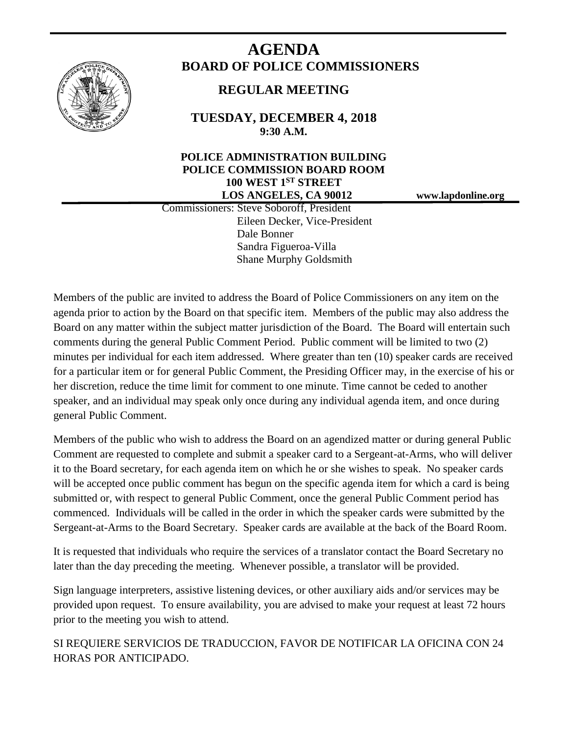

# **AGENDA BOARD OF POLICE COMMISSIONERS**

# **REGULAR MEETING**

**TUESDAY, DECEMBER 4, 2018 9:30 A.M.**

# **POLICE ADMINISTRATION BUILDING POLICE COMMISSION BOARD ROOM 100 WEST 1ST STREET LOS ANGELES, CA 90012 www.lapdonline.org**

 Commissioners: Steve Soboroff, President Eileen Decker, Vice-President Dale Bonner Sandra Figueroa-Villa Shane Murphy Goldsmith

Members of the public are invited to address the Board of Police Commissioners on any item on the agenda prior to action by the Board on that specific item. Members of the public may also address the Board on any matter within the subject matter jurisdiction of the Board. The Board will entertain such comments during the general Public Comment Period. Public comment will be limited to two (2) minutes per individual for each item addressed. Where greater than ten (10) speaker cards are received for a particular item or for general Public Comment, the Presiding Officer may, in the exercise of his or her discretion, reduce the time limit for comment to one minute. Time cannot be ceded to another speaker, and an individual may speak only once during any individual agenda item, and once during general Public Comment.

Members of the public who wish to address the Board on an agendized matter or during general Public Comment are requested to complete and submit a speaker card to a Sergeant-at-Arms, who will deliver it to the Board secretary, for each agenda item on which he or she wishes to speak. No speaker cards will be accepted once public comment has begun on the specific agenda item for which a card is being submitted or, with respect to general Public Comment, once the general Public Comment period has commenced. Individuals will be called in the order in which the speaker cards were submitted by the Sergeant-at-Arms to the Board Secretary. Speaker cards are available at the back of the Board Room.

It is requested that individuals who require the services of a translator contact the Board Secretary no later than the day preceding the meeting. Whenever possible, a translator will be provided.

Sign language interpreters, assistive listening devices, or other auxiliary aids and/or services may be provided upon request. To ensure availability, you are advised to make your request at least 72 hours prior to the meeting you wish to attend.

SI REQUIERE SERVICIOS DE TRADUCCION, FAVOR DE NOTIFICAR LA OFICINA CON 24 HORAS POR ANTICIPADO.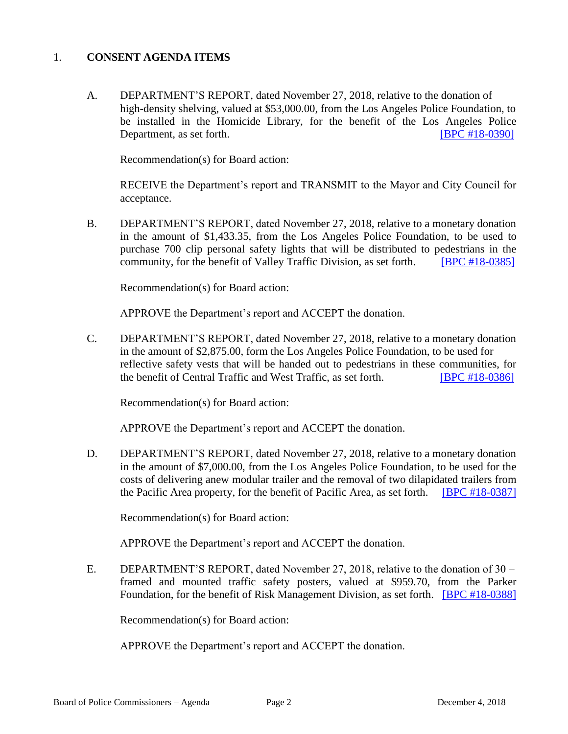#### 1. **CONSENT AGENDA ITEMS**

A. DEPARTMENT'S REPORT, dated November 27, 2018, relative to the donation of high-density shelving, valued at \$53,000.00, from the Los Angeles Police Foundation, to be installed in the Homicide Library, for the benefit of the Los Angeles Police Department, as set forth. **IBPC #18-0390** 

Recommendation(s) for Board action:

RECEIVE the Department's report and TRANSMIT to the Mayor and City Council for acceptance.

B. DEPARTMENT'S REPORT, dated November 27, 2018, relative to a monetary donation in the amount of \$1,433.35, from the Los Angeles Police Foundation, to be used to purchase 700 clip personal safety lights that will be distributed to pedestrians in the community, for the benefit of Valley Traffic Division, as set forth. [\[BPC #18-0385\]](http://www.lapdpolicecom.lacity.org/120418/BPC_18-0385.pdf)

Recommendation(s) for Board action:

APPROVE the Department's report and ACCEPT the donation.

C. DEPARTMENT'S REPORT, dated November 27, 2018, relative to a monetary donation in the amount of \$2,875.00, form the Los Angeles Police Foundation, to be used for reflective safety vests that will be handed out to pedestrians in these communities, for the benefit of Central Traffic and West Traffic, as set forth. [\[BPC #18-0386\]](http://www.lapdpolicecom.lacity.org/120418/BPC_18-0386.pdf)

Recommendation(s) for Board action:

APPROVE the Department's report and ACCEPT the donation.

D. DEPARTMENT'S REPORT, dated November 27, 2018, relative to a monetary donation in the amount of \$7,000.00, from the Los Angeles Police Foundation, to be used for the costs of delivering anew modular trailer and the removal of two dilapidated trailers from the Pacific Area property, for the benefit of Pacific Area, as set forth. [\[BPC #18-0387\]](http://www.lapdpolicecom.lacity.org/120418/BPC_18-0387.pdf)

Recommendation(s) for Board action:

APPROVE the Department's report and ACCEPT the donation.

E. DEPARTMENT'S REPORT, dated November 27, 2018, relative to the donation of 30 – framed and mounted traffic safety posters, valued at \$959.70, from the Parker Foundation, for the benefit of Risk Management Division, as set forth. [\[BPC #18-0388\]](http://www.lapdpolicecom.lacity.org/120418/BPC_18-0388.pdf)

Recommendation(s) for Board action:

APPROVE the Department's report and ACCEPT the donation.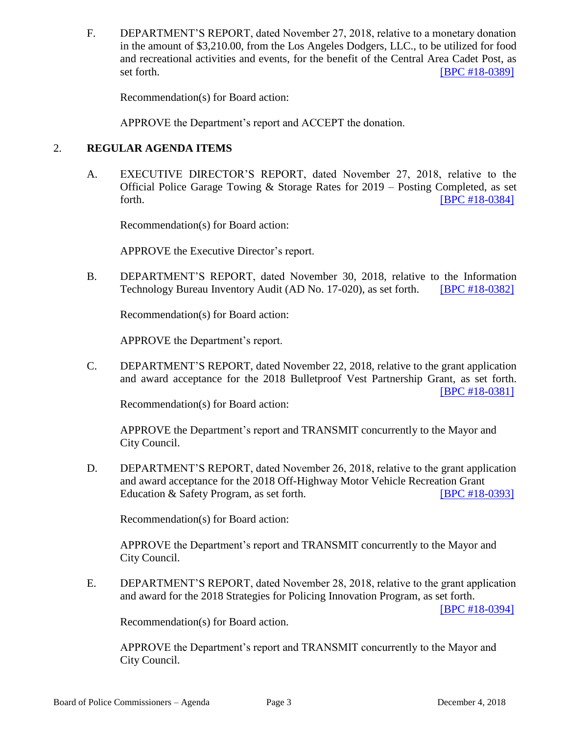F. DEPARTMENT'S REPORT, dated November 27, 2018, relative to a monetary donation in the amount of \$3,210.00, from the Los Angeles Dodgers, LLC., to be utilized for food and recreational activities and events, for the benefit of the Central Area Cadet Post, as set forth. **IBPC #18-0389** 

Recommendation(s) for Board action:

APPROVE the Department's report and ACCEPT the donation.

### 2. **REGULAR AGENDA ITEMS**

A. EXECUTIVE DIRECTOR'S REPORT, dated November 27, 2018, relative to the Official Police Garage Towing & Storage Rates for 2019 – Posting Completed, as set forth. **IBPC #18-0384]** 

Recommendation(s) for Board action:

APPROVE the Executive Director's report.

B. DEPARTMENT'S REPORT, dated November 30, 2018, relative to the Information Technology Bureau Inventory Audit (AD No. 17-020), as set forth. [\[BPC #18-0382\]](http://www.lapdpolicecom.lacity.org/120418/BPC_18-0382.pdf)

Recommendation(s) for Board action:

APPROVE the Department's report.

C. DEPARTMENT'S REPORT, dated November 22, 2018, relative to the grant application and award acceptance for the 2018 Bulletproof Vest Partnership Grant, as set forth. [\[BPC #18-0381\]](http://www.lapdpolicecom.lacity.org/120418/BPC_18-0381.pdf)

Recommendation(s) for Board action:

APPROVE the Department's report and TRANSMIT concurrently to the Mayor and City Council.

D. DEPARTMENT'S REPORT, dated November 26, 2018, relative to the grant application and award acceptance for the 2018 Off-Highway Motor Vehicle Recreation Grant Education & Safety Program, as set forth. [\[BPC #18-0393\]](http://www.lapdpolicecom.lacity.org/120418/BPC_18-0393.pdf)

Recommendation(s) for Board action:

APPROVE the Department's report and TRANSMIT concurrently to the Mayor and City Council.

E. DEPARTMENT'S REPORT, dated November 28, 2018, relative to the grant application and award for the 2018 Strategies for Policing Innovation Program, as set forth.

[\[BPC #18-0394\]](http://www.lapdpolicecom.lacity.org/120418/BPC_18-0394.pdf)

Recommendation(s) for Board action.

APPROVE the Department's report and TRANSMIT concurrently to the Mayor and City Council.